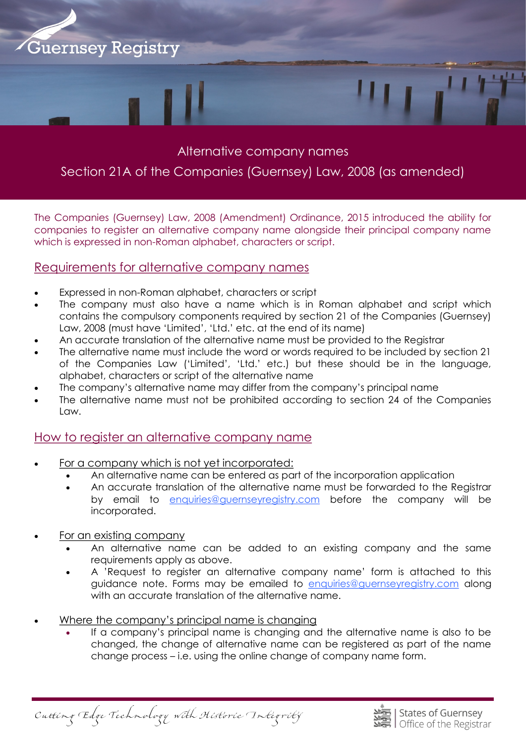

## Alternative company names

# Section 21A of the Companies (Guernsey) Law, 2008 (as amended)

The Companies (Guernsey) Law, 2008 (Amendment) Ordinance, 2015 introduced the ability for companies to register an alternative company name alongside their principal company name which is expressed in non-Roman alphabet, characters or script.

#### Requirements for alternative company names

- Expressed in non-Roman alphabet, characters or script
- The company must also have a name which is in Roman alphabet and script which contains the compulsory components required by section 21 of the Companies (Guernsey) Law, 2008 (must have 'Limited', 'Ltd.' etc. at the end of its name)
- An accurate translation of the alternative name must be provided to the Registrar
- The alternative name must include the word or words required to be included by section 21 of the Companies Law ('Limited', 'Ltd.' etc.) but these should be in the language, alphabet, characters or script of the alternative name
- The company's alternative name may differ from the company's principal name
- The alternative name must not be prohibited according to section 24 of the Companies Law.

### How to register an alternative company name

- For a company which is not yet incorporated:
	- An alternative name can be entered as part of the incorporation application
		- An accurate translation of the alternative name must be forwarded to the Registrar by email to [enquiries@guernseyregistry.com b](mailto:enquiries@guernseyregistry.com)efore the company will be incorporated.
- For an existing company
	- An alternative name can be added to an existing company and the same requirements apply as above.
	- A 'Request to register an alternative company name' form is attached to this guidance note. Forms may be emailed to [enquiries@guernseyregistry.com a](mailto:enquiries@guernseyregistry.com)long with an accurate translation of the alternative name.
- Where the company's principal name is changing
	- If a company's principal name is changing and the alternative name is also to be changed, the change of alternative name can be registered as part of the name change process – i.e. using the online change of company name form.

Cutting Edge Technology with Historic Integrity